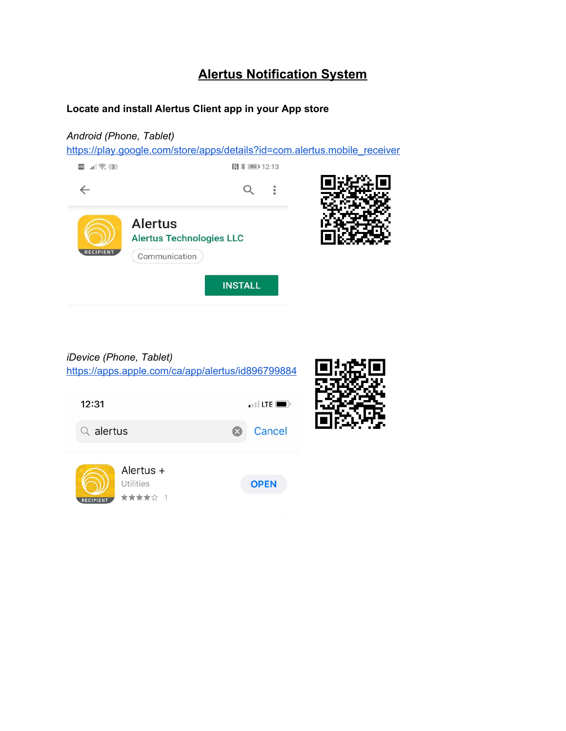# **Alertus Notification System**

#### **Locate and install Alertus Client app in your App store**

### *Android (Phone, Tablet)*

[https://play.google.com/store/apps/details?id=com.alertus.mobile\\_receiver](https://play.google.com/store/apps/details?id=com.alertus.mobile_receiver)



## *iDevice (Phone, Tablet)*

<https://apps.apple.com/ca/app/alertus/id896799884>

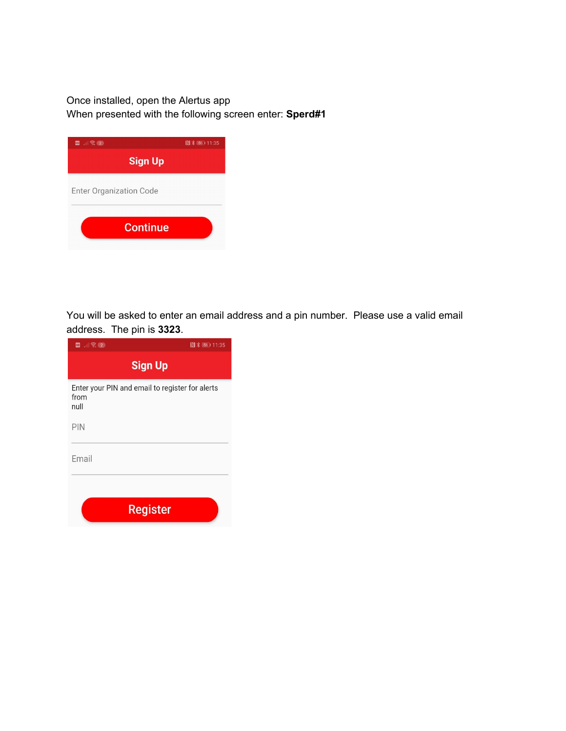### Once installed, open the Alertus app When presented with the following screen enter: **Sperd#1**

| ■ 删除2                          | 图 》 56 11:35 |
|--------------------------------|--------------|
| <b>Sign Up</b>                 |              |
| <b>Enter Organization Code</b> |              |
| <b>Continue</b>                |              |

You will be asked to enter an email address and a pin number. Please use a valid email address. The pin is **3323**.

| $\mathbf{E}$ $\mathbf{E}$ $\mathbf{E}$ $\mathbf{E}$ $\mathbf{E}$ $\mathbf{E}$ | 图 米 56 11:35 |  |  |  |  |  |  |
|-------------------------------------------------------------------------------|--------------|--|--|--|--|--|--|
| <b>Sign Up</b>                                                                |              |  |  |  |  |  |  |
| Enter your PIN and email to register for alerts<br>from<br>null               |              |  |  |  |  |  |  |
| PIN                                                                           |              |  |  |  |  |  |  |
| Email                                                                         |              |  |  |  |  |  |  |
| <b>Register</b>                                                               |              |  |  |  |  |  |  |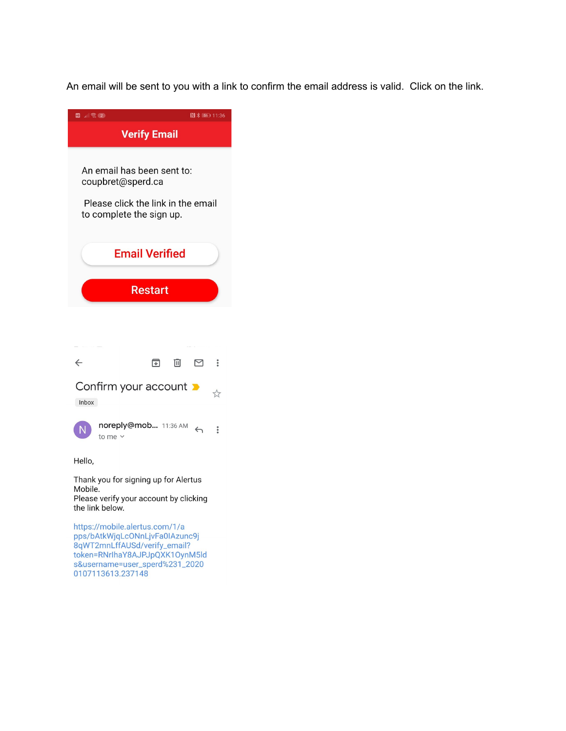An email will be sent to you with a link to confirm the email address is valid. Click on the link.



8qWT2mnLffAUSd/verify\_email? token=RNrlhaY8AJPJpQXK10ynM5ld s&username=user\_sperd%231\_2020 0107113613.237148